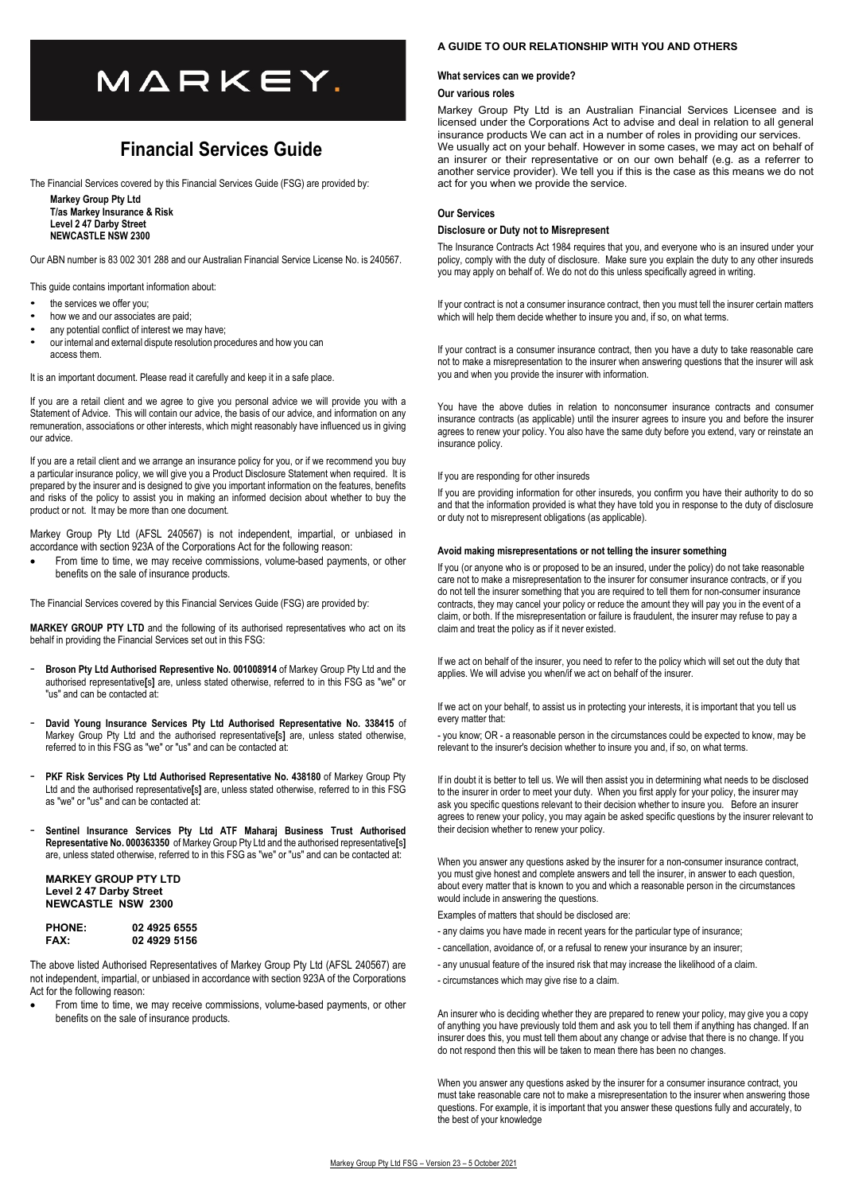# MARKEY.

# **Financial Services Guide**

The Financial Services covered by this Financial Services Guide (FSG) are provided by:

**Markey Group Pty Ltd T/as Markey Insurance & Risk Level 2 47 Darby Street NEWCASTLE NSW 2300** 

Our ABN number is 83 002 301 288 and our Australian Financial Service License No. is 240567.

This guide contains important information about:

- the services we offer you:
- how we and our associates are paid;
- any potential conflict of interest we may have;
- our internal and external dispute resolution procedures and how you can access them.

It is an important document. Please read it carefully and keep it in a safe place.

If you are a retail client and we agree to give you personal advice we will provide you with a Statement of Advice. This will contain our advice, the basis of our advice, and information on any remuneration, associations or other interests, which might reasonably have influenced us in giving our advice.

If you are a retail client and we arrange an insurance policy for you, or if we recommend you buy a particular insurance policy, we will give you a Product Disclosure Statement when required. It is prepared by the insurer and is designed to give you important information on the features, benefits and risks of the policy to assist you in making an informed decision about whether to buy the product or not. It may be more than one document.

Markey Group Pty Ltd (AFSL 240567) is not independent, impartial, or unbiased in accordance with section 923A of the Corporations Act for the following reason:

 From time to time, we may receive commissions, volume-based payments, or other benefits on the sale of insurance products.

The Financial Services covered by this Financial Services Guide (FSG) are provided by:

**MARKEY GROUP PTY LTD** and the following of its authorised representatives who act on its behalf in providing the Financial Services set out in this FSG:

- **Broson Pty Ltd Authorised Representive No. 001008914** of Markey Group Pty Ltd and the authorised representative**[**s**]** are, unless stated otherwise, referred to in this FSG as "we" or "us" and can be contacted at:
- **David Young Insurance Services Pty Ltd Authorised Representative No. 338415** of Markey Group Pty Ltd and the authorised representative**[**s**]** are, unless stated otherwise, referred to in this FSG as "we" or "us" and can be contacted at:
- PKF Risk Services Pty Ltd Authorised Representative No. 438180 of Markey Group Pty Ltd and the authorised representative**[**s**]** are, unless stated otherwise, referred to in this FSG as "we" or "us" and can be contacted at:
- **Sentinel Insurance Services Pty Ltd ATF Maharaj Business Trust Authorised Representative No. 000363350** of Markey Group Pty Ltd and the authorised representative**[**s**]** are, unless stated otherwise, referred to in this FSG as "we" or "us" and can be contacted at:

**MARKEY GROUP PTY LTD Level 2 47 Darby Street NEWCASTLE NSW 2300** 

| <b>PHONE:</b> | 02 4925 6555 |
|---------------|--------------|
| <b>FAX:</b>   | 02 4929 5156 |

The above listed Authorised Representatives of Markey Group Pty Ltd (AFSL 240567) are not independent, impartial, or unbiased in accordance with section 923A of the Corporations Act for the following reason:

 From time to time, we may receive commissions, volume-based payments, or other benefits on the sale of insurance products.

#### **A GUIDE TO OUR RELATIONSHIP WITH YOU AND OTHERS**

#### **What services can we provide?**

#### **Our various roles**

Markey Group Pty Ltd is an Australian Financial Services Licensee and is licensed under the Corporations Act to advise and deal in relation to all general insurance products We can act in a number of roles in providing our services. We usually act on your behalf. However in some cases, we may act on behalf of an insurer or their representative or on our own behalf (e.g. as a referrer to another service provider). We tell you if this is the case as this means we do not act for you when we provide the service.

#### **Our Services**

#### **Disclosure or Duty not to Misrepresent**

The Insurance Contracts Act 1984 requires that you, and everyone who is an insured under your policy, comply with the duty of disclosure. Make sure you explain the duty to any other insureds you may apply on behalf of. We do not do this unless specifically agreed in writing.

If your contract is not a consumer insurance contract, then you must tell the insurer certain matters which will help them decide whether to insure you and, if so, on what terms.

If your contract is a consumer insurance contract, then you have a duty to take reasonable care not to make a misrepresentation to the insurer when answering questions that the insurer will ask you and when you provide the insurer with information.

You have the above duties in relation to nonconsumer insurance contracts and consumer insurance contracts (as applicable) until the insurer agrees to insure you and before the insurer agrees to renew your policy. You also have the same duty before you extend, vary or reinstate an insurance policy.

If you are responding for other insureds

If you are providing information for other insureds, you confirm you have their authority to do so and that the information provided is what they have told you in response to the duty of disclosure or duty not to misrepresent obligations (as applicable).

# **Avoid making misrepresentations or not telling the insurer something**

If you (or anyone who is or proposed to be an insured, under the policy) do not take reasonable care not to make a misrepresentation to the insurer for consumer insurance contracts, or if you do not tell the insurer something that you are required to tell them for non-consumer insurance contracts, they may cancel your policy or reduce the amount they will pay you in the event of a claim, or both. If the misrepresentation or failure is fraudulent, the insurer may refuse to pay a claim and treat the policy as if it never existed.

If we act on behalf of the insurer, you need to refer to the policy which will set out the duty that applies. We will advise you when/if we act on behalf of the insurer.

If we act on your behalf, to assist us in protecting your interests, it is important that you tell us every matter that:

- you know; OR - a reasonable person in the circumstances could be expected to know, may be relevant to the insurer's decision whether to insure you and, if so, on what terms.

If in doubt it is better to tell us. We will then assist you in determining what needs to be disclosed to the insurer in order to meet your duty. When you first apply for your policy, the insurer may ask you specific questions relevant to their decision whether to insure you. Before an insurer agrees to renew your policy, you may again be asked specific questions by the insurer relevant to their decision whether to renew your policy.

When you answer any questions asked by the insurer for a non-consumer insurance contract, you must give honest and complete answers and tell the insurer, in answer to each question, about every matter that is known to you and which a reasonable person in the circumstances would include in answering the questions.

Examples of matters that should be disclosed are:

- any claims you have made in recent years for the particular type of insurance;
- cancellation, avoidance of, or a refusal to renew your insurance by an insurer;
- any unusual feature of the insured risk that may increase the likelihood of a claim.
- circumstances which may give rise to a claim.

An insurer who is deciding whether they are prepared to renew your policy, may give you a copy of anything you have previously told them and ask you to tell them if anything has changed. If an insurer does this, you must tell them about any change or advise that there is no change. If you do not respond then this will be taken to mean there has been no changes.

When you answer any questions asked by the insurer for a consumer insurance contract, you must take reasonable care not to make a misrepresentation to the insurer when answering those questions. For example, it is important that you answer these questions fully and accurately, to the best of your knowledge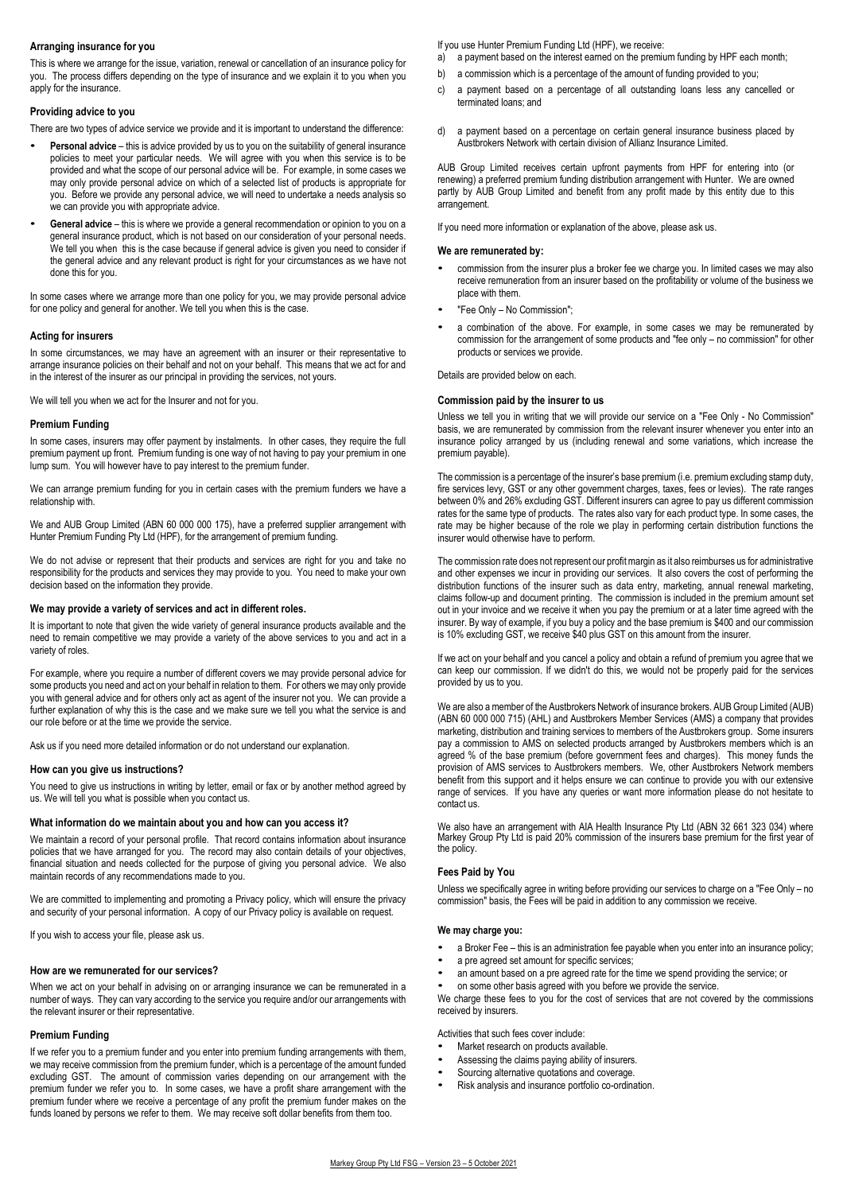#### **Arranging insurance for you**

This is where we arrange for the issue, variation, renewal or cancellation of an insurance policy for you. The process differs depending on the type of insurance and we explain it to you when you apply for the insurance.

# **Providing advice to you**

There are two types of advice service we provide and it is important to understand the difference:

- **Personal advice** this is advice provided by us to you on the suitability of general insurance policies to meet your particular needs. We will agree with you when this service is to be provided and what the scope of our personal advice will be. For example, in some cases we may only provide personal advice on which of a selected list of products is appropriate for you. Before we provide any personal advice, we will need to undertake a needs analysis so we can provide you with appropriate advice.
- **General advice** this is where we provide a general recommendation or opinion to you on a general insurance product, which is not based on our consideration of your personal needs. We tell you when this is the case because if general advice is given you need to consider if the general advice and any relevant product is right for your circumstances as we have not done this for you.

In some cases where we arrange more than one policy for you, we may provide personal advice for one policy and general for another. We tell you when this is the case.

# **Acting for insurers**

In some circumstances, we may have an agreement with an insurer or their representative to arrange insurance policies on their behalf and not on your behalf. This means that we act for and in the interest of the insurer as our principal in providing the services, not yours.

We will tell you when we act for the Insurer and not for you.

# **Premium Funding**

In some cases, insurers may offer payment by instalments. In other cases, they require the full premium payment up front. Premium funding is one way of not having to pay your premium in one lump sum. You will however have to pay interest to the premium funder.

We can arrange premium funding for you in certain cases with the premium funders we have a relationship with.

We and AUB Group Limited (ABN 60 000 000 175), have a preferred supplier arrangement with Hunter Premium Funding Pty Ltd (HPF), for the arrangement of premium funding.

We do not advise or represent that their products and services are right for you and take no responsibility for the products and services they may provide to you. You need to make your own decision based on the information they provide.

# **We may provide a variety of services and act in different roles.**

It is important to note that given the wide variety of general insurance products available and the need to remain competitive we may provide a variety of the above services to you and act in a variety of roles.

For example, where you require a number of different covers we may provide personal advice for some products you need and act on your behalf in relation to them. For others we may only provide you with general advice and for others only act as agent of the insurer not you. We can provide a further explanation of why this is the case and we make sure we tell you what the service is and our role before or at the time we provide the service.

Ask us if you need more detailed information or do not understand our explanation.

# **How can you give us instructions?**

You need to give us instructions in writing by letter, email or fax or by another method agreed by us. We will tell you what is possible when you contact us.

# **What information do we maintain about you and how can you access it?**

We maintain a record of your personal profile. That record contains information about insurance policies that we have arranged for you. The record may also contain details of your objectives, financial situation and needs collected for the purpose of giving you personal advice. We also maintain records of any recommendations made to you.

We are committed to implementing and promoting a Privacy policy, which will ensure the privacy and security of your personal information. A copy of our Privacy policy is available on request.

If you wish to access your file, please ask us.

# **How are we remunerated for our services?**

When we act on your behalf in advising on or arranging insurance we can be remunerated in a number of ways. They can vary according to the service you require and/or our arrangements with the relevant insurer or their representative.

# **Premium Funding**

If we refer you to a premium funder and you enter into premium funding arrangements with them, we may receive commission from the premium funder, which is a percentage of the amount funded excluding GST. The amount of commission varies depending on our arrangement with the premium funder we refer you to. In some cases, we have a profit share arrangement with the premium funder where we receive a percentage of any profit the premium funder makes on the funds loaned by persons we refer to them. We may receive soft dollar benefits from them too.

If you use Hunter Premium Funding Ltd (HPF), we receive:

- a) a payment based on the interest earned on the premium funding by HPF each month;
- b) a commission which is a percentage of the amount of funding provided to you;
- c) a payment based on a percentage of all outstanding loans less any cancelled or terminated loans; and
- d) a payment based on a percentage on certain general insurance business placed by Austbrokers Network with certain division of Allianz Insurance Limited.

AUB Group Limited receives certain upfront payments from HPF for entering into (or renewing) a preferred premium funding distribution arrangement with Hunter. We are owned partly by AUB Group Limited and benefit from any profit made by this entity due to this arrangement.

If you need more information or explanation of the above, please ask us.

# **We are remunerated by:**

- commission from the insurer plus a broker fee we charge you. In limited cases we may also receive remuneration from an insurer based on the profitability or volume of the business we place with them.
- "Fee Only No Commission";
- a combination of the above. For example, in some cases we may be remunerated by commission for the arrangement of some products and "fee only – no commission" for other products or services we provide.

Details are provided below on each.

#### **Commission paid by the insurer to us**

Unless we tell you in writing that we will provide our service on a "Fee Only - No Commission" basis, we are remunerated by commission from the relevant insurer whenever you enter into an insurance policy arranged by us (including renewal and some variations, which increase the premium payable).

The commission is a percentage of the insurer's base premium (i.e. premium excluding stamp duty, fire services levy, GST or any other government charges, taxes, fees or levies). The rate ranges between 0% and 26% excluding GST. Different insurers can agree to pay us different commission rates for the same type of products. The rates also vary for each product type. In some cases, the rate may be higher because of the role we play in performing certain distribution functions the insurer would otherwise have to perform.

The commission rate does not represent our profit margin as it also reimburses us for administrative and other expenses we incur in providing our services. It also covers the cost of performing the distribution functions of the insurer such as data entry, marketing, annual renewal marketing, claims follow-up and document printing. The commission is included in the premium amount set out in your invoice and we receive it when you pay the premium or at a later time agreed with the insurer. By way of example, if you buy a policy and the base premium is \$400 and our commission is 10% excluding GST, we receive \$40 plus GST on this amount from the insurer.

If we act on your behalf and you cancel a policy and obtain a refund of premium you agree that we can keep our commission. If we didn't do this, we would not be properly paid for the services provided by us to you.

We are also a member of the Austbrokers Network of insurance brokers. AUB Group Limited (AUB) (ABN 60 000 000 715) (AHL) and Austbrokers Member Services (AMS) a company that provides marketing, distribution and training services to members of the Austbrokers group. Some insurers pay a commission to AMS on selected products arranged by Austbrokers members which is an agreed % of the base premium (before government fees and charges). This money funds the provision of AMS services to Austbrokers members. We, other Austbrokers Network members benefit from this support and it helps ensure we can continue to provide you with our extensive range of services. If you have any queries or want more information please do not hesitate to contact us.

We also have an arrangement with AIA Health Insurance Pty Ltd (ABN 32 661 323 034) where Markey Group Pty Ltd is paid 20% commission of the insurers base premium for the first year of the policy.

#### **Fees Paid by You**

Unless we specifically agree in writing before providing our services to charge on a "Fee Only – no commission" basis, the Fees will be paid in addition to any commission we receive.

#### **We may charge you:**

- a Broker Fee this is an administration fee payable when you enter into an insurance policy;
- a pre agreed set amount for specific services;
- an amount based on a pre agreed rate for the time we spend providing the service; or
- on some other basis agreed with you before we provide the service.

We charge these fees to you for the cost of services that are not covered by the commissions received by insurers.

Activities that such fees cover include:

- Market research on products available.
- Assessing the claims paying ability of insurers.
- Sourcing alternative quotations and coverage.
- Risk analysis and insurance portfolio co-ordination.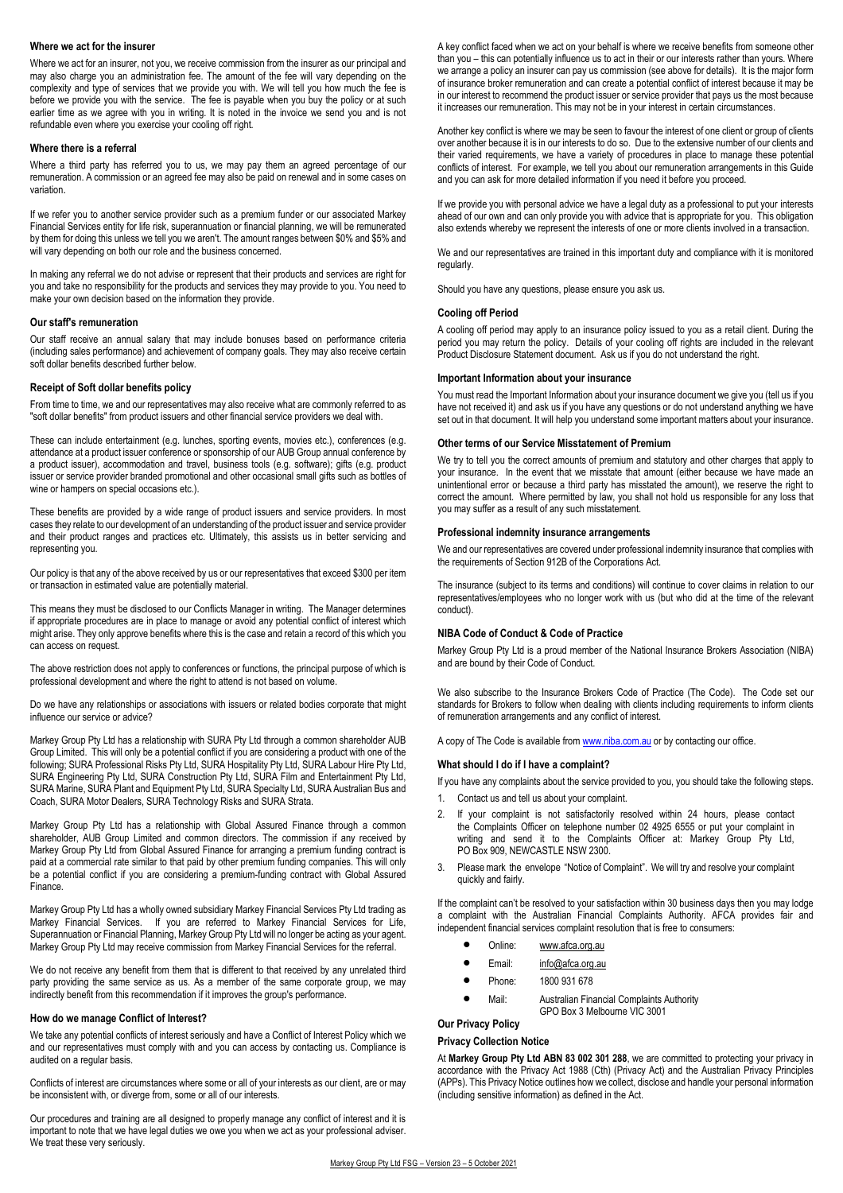#### **Where we act for the insurer**

Where we act for an insurer, not you, we receive commission from the insurer as our principal and may also charge you an administration fee. The amount of the fee will vary depending on the complexity and type of services that we provide you with. We will tell you how much the fee is before we provide you with the service. The fee is payable when you buy the policy or at such earlier time as we agree with you in writing. It is noted in the invoice we send you and is not refundable even where you exercise your cooling off right.

#### **Where there is a referral**

Where a third party has referred you to us, we may pay them an agreed percentage of our remuneration. A commission or an agreed fee may also be paid on renewal and in some cases on variation.

If we refer you to another service provider such as a premium funder or our associated Markey Financial Services entity for life risk, superannuation or financial planning, we will be remunerated by them for doing this unless we tell you we aren't. The amount ranges between \$0% and \$5% and will vary depending on both our role and the business concerned.

In making any referral we do not advise or represent that their products and services are right for you and take no responsibility for the products and services they may provide to you. You need to make your own decision based on the information they provide.

#### **Our staff's remuneration**

Our staff receive an annual salary that may include bonuses based on performance criteria (including sales performance) and achievement of company goals. They may also receive certain soft dollar benefits described further below.

#### **Receipt of Soft dollar benefits policy**

From time to time, we and our representatives may also receive what are commonly referred to as "soft dollar benefits" from product issuers and other financial service providers we deal with.

These can include entertainment (e.g. lunches, sporting events, movies etc.), conferences (e.g. attendance at a product issuer conference or sponsorship of our AUB Group annual conference by a product issuer), accommodation and travel, business tools (e.g. software); gifts (e.g. product issuer or service provider branded promotional and other occasional small gifts such as bottles of wine or hampers on special occasions etc.).

These benefits are provided by a wide range of product issuers and service providers. In most cases they relate to our development of an understanding of the product issuer and service provider and their product ranges and practices etc. Ultimately, this assists us in better servicing and representing you.

Our policy is that any of the above received by us or our representatives that exceed \$300 per item or transaction in estimated value are potentially material.

This means they must be disclosed to our Conflicts Manager in writing. The Manager determines if appropriate procedures are in place to manage or avoid any potential conflict of interest which might arise. They only approve benefits where this is the case and retain a record of this which you can access on request.

The above restriction does not apply to conferences or functions, the principal purpose of which is professional development and where the right to attend is not based on volume.

Do we have any relationships or associations with issuers or related bodies corporate that might influence our service or advice?

Markey Group Pty Ltd has a relationship with SURA Pty Ltd through a common shareholder AUB Group Limited. This will only be a potential conflict if you are considering a product with one of the following; SURA Professional Risks Pty Ltd, SURA Hospitality Pty Ltd, SURA Labour Hire Pty Ltd, SURA Engineering Pty Ltd, SURA Construction Pty Ltd, SURA Film and Entertainment Pty Ltd, SURA Marine, SURA Plant and Equipment Pty Ltd, SURA Specialty Ltd, SURA Australian Bus and Coach, SURA Motor Dealers, SURA Technology Risks and SURA Strata.

Markey Group Pty Ltd has a relationship with Global Assured Finance through a common shareholder, AUB Group Limited and common directors. The commission if any received by Markey Group Pty Ltd from Global Assured Finance for arranging a premium funding contract is paid at a commercial rate similar to that paid by other premium funding companies. This will only be a potential conflict if you are considering a premium-funding contract with Global Assured Finance.

Markey Group Pty Ltd has a wholly owned subsidiary Markey Financial Services Pty Ltd trading as Markey Financial Services. If you are referred to Markey Financial Services for Life, Superannuation or Financial Planning, Markey Group Pty Ltd will no longer be acting as your agent. Markey Group Pty Ltd may receive commission from Markey Financial Services for the referral.

We do not receive any benefit from them that is different to that received by any unrelated third party providing the same service as us. As a member of the same corporate group, we may indirectly benefit from this recommendation if it improves the group's performance.

#### **How do we manage Conflict of Interest?**

We take any potential conflicts of interest seriously and have a Conflict of Interest Policy which we and our representatives must comply with and you can access by contacting us. Compliance is audited on a regular basis.

Conflicts of interest are circumstances where some or all of your interests as our client, are or may be inconsistent with, or diverge from, some or all of our interests.

Our procedures and training are all designed to properly manage any conflict of interest and it is important to note that we have legal duties we owe you when we act as your professional adviser. We treat these very seriously.

A key conflict faced when we act on your behalf is where we receive benefits from someone other than you – this can potentially influence us to act in their or our interests rather than yours. Where we arrange a policy an insurer can pay us commission (see above for details). It is the major form of insurance broker remuneration and can create a potential conflict of interest because it may be in our interest to recommend the product issuer or service provider that pays us the most because it increases our remuneration. This may not be in your interest in certain circumstances.

Another key conflict is where we may be seen to favour the interest of one client or group of clients over another because it is in our interests to do so. Due to the extensive number of our clients and their varied requirements, we have a variety of procedures in place to manage these potential conflicts of interest. For example, we tell you about our remuneration arrangements in this Guide and you can ask for more detailed information if you need it before you proceed.

If we provide you with personal advice we have a legal duty as a professional to put your interests ahead of our own and can only provide you with advice that is appropriate for you. This obligation also extends whereby we represent the interests of one or more clients involved in a transaction.

We and our representatives are trained in this important duty and compliance with it is monitored regularly.

Should you have any questions, please ensure you ask us.

#### **Cooling off Period**

A cooling off period may apply to an insurance policy issued to you as a retail client. During the period you may return the policy. Details of your cooling off rights are included in the relevant Product Disclosure Statement document. Ask us if you do not understand the right.

## **Important Information about your insurance**

You must read the Important Information about your insurance document we give you (tell us if you have not received it) and ask us if you have any questions or do not understand anything we have set out in that document. It will help you understand some important matters about your insurance.

#### **Other terms of our Service Misstatement of Premium**

We try to tell you the correct amounts of premium and statutory and other charges that apply to your insurance. In the event that we misstate that amount (either because we have made an unintentional error or because a third party has misstated the amount), we reserve the right to correct the amount. Where permitted by law, you shall not hold us responsible for any loss that you may suffer as a result of any such misstatement.

#### **Professional indemnity insurance arrangements**

We and our representatives are covered under professional indemnity insurance that complies with the requirements of Section 912B of the Corporations Act.

The insurance (subject to its terms and conditions) will continue to cover claims in relation to our representatives/employees who no longer work with us (but who did at the time of the relevant conduct).

#### **NIBA Code of Conduct & Code of Practice**

Markey Group Pty Ltd is a proud member of the National Insurance Brokers Association (NIBA) and are bound by their Code of Conduct.

We also subscribe to the Insurance Brokers Code of Practice (The Code). The Code set our standards for Brokers to follow when dealing with clients including requirements to inform clients of remuneration arrangements and any conflict of interest.

A copy of The Code is available from www.niba.com.au or by contacting our office.

#### **What should I do if I have a complaint?**

If you have any complaints about the service provided to you, you should take the following steps.

- 1. Contact us and tell us about your complaint.
- 2. If your complaint is not satisfactorily resolved within 24 hours, please contact the Complaints Officer on telephone number 02 4925 6555 or put your complaint in writing and send it to the Complaints Officer at: Markey Group Pty Ltd, PO Box 909, NEWCASTLE NSW 2300.
- 3. Please mark the envelope "Notice of Complaint". We will try and resolve your complaint quickly and fairly.

If the complaint can't be resolved to your satisfaction within 30 business days then you may lodge a complaint with the Australian Financial Complaints Authority. AFCA provides fair and independent financial services complaint resolution that is free to consumers:

- Online: www.afca.org.au
- Email: info@afca.org.au
- Phone: 1800 931 678
- Mail: Australian Financial Complaints Authority GPO Box 3 Melbourne VIC 3001

#### **Our Privacy Policy**

#### **Privacy Collection Notice**

At **Markey Group Pty Ltd ABN 83 002 301 288**, we are committed to protecting your privacy in accordance with the Privacy Act 1988 (Cth) (Privacy Act) and the Australian Privacy Principles (APPs). This Privacy Notice outlines how we collect, disclose and handle your personal information (including sensitive information) as defined in the Act.